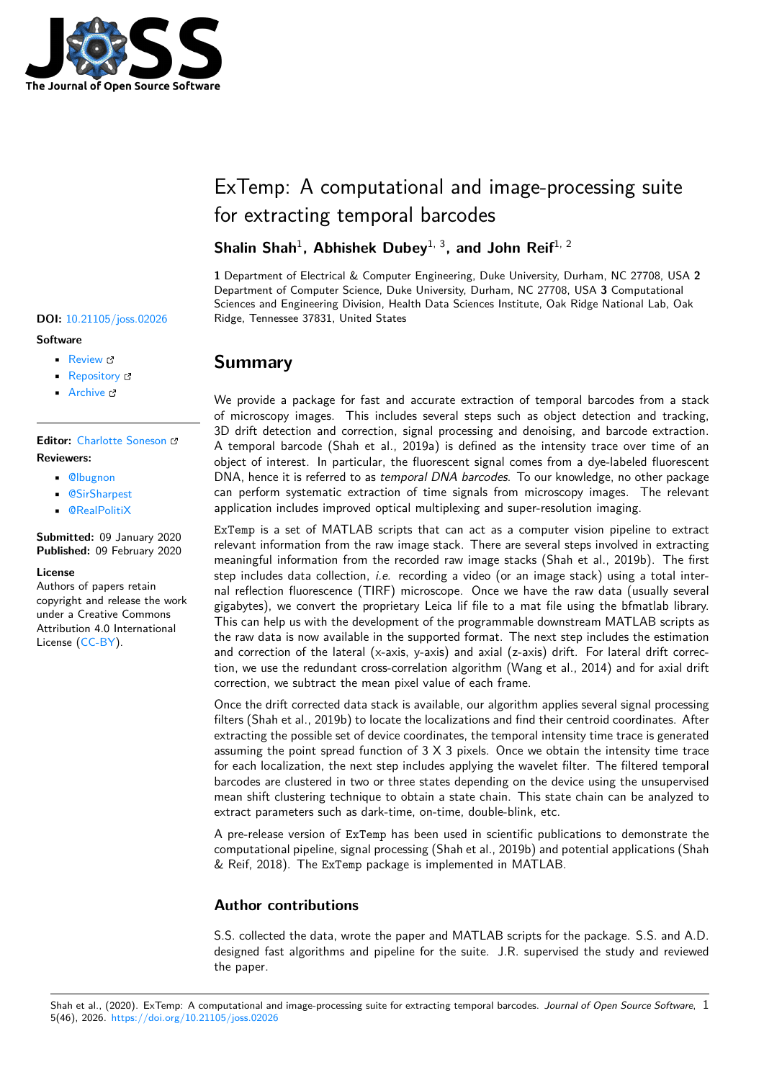

# ExTemp: A computational and image-processing suite for extracting temporal barcodes

## Shalin Shah<sup>1</sup>, Abhishek Dubey<sup>1, 3</sup>, and John Reif<sup>1, 2</sup>

**1** Department of Electrical & Computer Engineering, Duke University, Durham, NC 27708, USA **2** Department of Computer Science, Duke University, Durham, NC 27708, USA **3** Computational Sciences and Engineering Division, Health Data Sciences Institute, Oak Ridge National Lab, Oak DOI: 10.21105/joss.02026 Ridge, Tennessee 37831, United States

# **Summary**

We provide a package for fast and accurate extraction of temporal barcodes from a stack of microscopy images. This includes several steps such as object detection and tracking, 3D drift detection and correction, signal processing and denoising, and barcode extraction. A temporal barcode (Shah et al., 2019a) is defined as the intensity trace over time of an object of interest. In particular, the fluorescent signal comes from a dye-labeled fluorescent DNA, hence it is referred to as *temporal DNA barcodes*. To our knowledge, no other package can perform systematic extraction of time signals from microscopy images. The relevant application includes improved optical multiplexing and super-resolution imaging.

ExTemp is a set of MATLAB scripts that can act as a computer vision pipeline to extract relevant information from the raw image stack. There are several steps involved in extracting meaningful information from the recorded raw image stacks (Shah et al., 2019b). The first step includes data collection, *i.e.* recording a video (or an image stack) using a total internal reflection fluorescence (TIRF) microscope. Once we have the raw data (usually several gigabytes), we convert the proprietary Leica lif file to a mat file using the bfmatlab library. This can help us with the development of the programmable downstream MATLAB scripts as the raw data is now available in the supported format. The next step includes the estimation and correction of the lateral (x-axis, y-axis) and axial (z-axis) drift. For lateral drift correction, we use the redundant cross-correlation algorithm (Wang et al., 2014) and for axial drift correction, we subtract the mean pixel value of each frame.

Once the drift corrected data stack is available, our algorithm applies several signal processing filters (Shah et al., 2019b) to locate the localizations and find their centroid coordinates. After extracting the possible set of device coordinates, the temporal intensity time trace is generated assuming the point spread function of  $3 \times 3$  pixels. Once we obtain the intensity time trace for each localization, the next step includes applying the wavelet filter. The filtered temporal barcodes are clustered in two or three states depending on the device using the unsupervised mean shift clustering technique to obtain a state chain. This state chain can be analyzed to extract parameters such as dark-time, on-time, double-blink, etc.

A pre-release version of ExTemp has been used in scientific publications to demonstrate the computational pipeline, signal processing (Shah et al., 2019b) and potential applications (Shah & Reif, 2018). The ExTemp package is implemented in MATLAB.

### **Author contributions**

S.S. collected the data, wrote the paper and MATLAB scripts for the package. S.S. and A.D. designed fast algorithms and pipeline for the suite. J.R. supervised the study and reviewed the paper.

### **Software**

- Review **C**
- [Repository](https://doi.org/10.21105/joss.02026) C
- Archive &

# **Editor:** [Charlotte](https://github.com/shalinshah1993/temporalDNAbarcodes) Soneson

### **Revie[wers:](https://doi.org/10.5281/zenodo.3660411)**

- @lbugnon
- @SirSharpest
- @[RealPolitiX](http://csoneson.github.io/)

#### **Subm[itted:](https://github.com/lbugnon)** 09 January 2020 **Published:** [09 Febr](https://github.com/SirSharpest)uary 2020

### **License**

Autho[rs of papers r](https://github.com/RealPolitiX)etain copyright and release the work under a Creative Commons Attribution 4.0 International License (CC-BY).

Shah et al., (2020). ExTemp: A computational and image-processing suite for extracting temporal barcodes. *Journal of Open Source Software*, 15(46), 2026. https://doi.org/10.21105/joss.02026